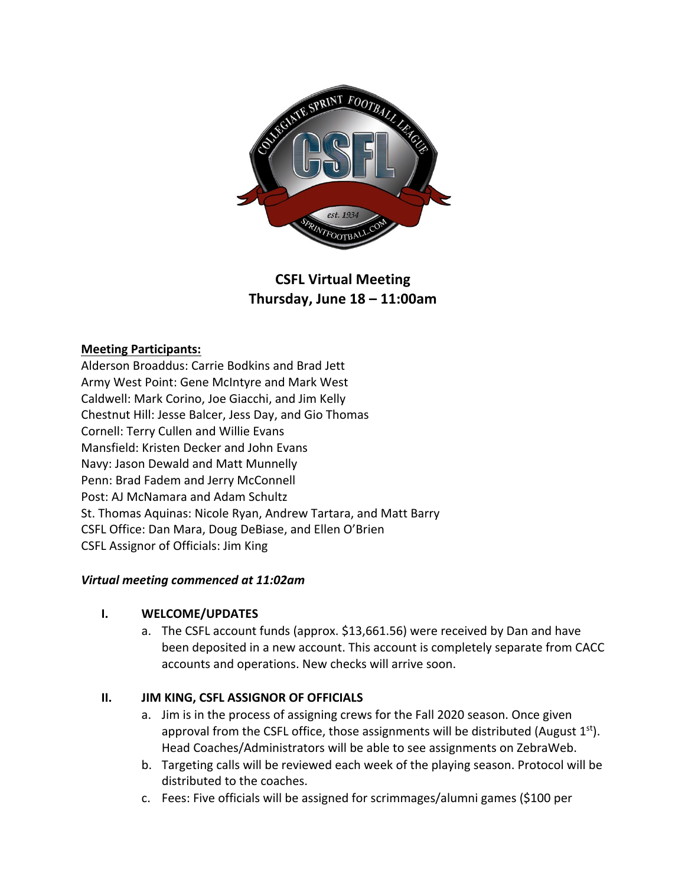

# **CSFL Virtual Meeting Thursday, June 18 – 11:00am**

### **Meeting Participants:**

Alderson Broaddus: Carrie Bodkins and Brad Jett Army West Point: Gene McIntyre and Mark West Caldwell: Mark Corino, Joe Giacchi, and Jim Kelly Chestnut Hill: Jesse Balcer, Jess Day, and Gio Thomas Cornell: Terry Cullen and Willie Evans Mansfield: Kristen Decker and John Evans Navy: Jason Dewald and Matt Munnelly Penn: Brad Fadem and Jerry McConnell Post: AJ McNamara and Adam Schultz St. Thomas Aquinas: Nicole Ryan, Andrew Tartara, and Matt Barry CSFL Office: Dan Mara, Doug DeBiase, and Ellen O'Brien CSFL Assignor of Officials: Jim King

#### *Virtual meeting commenced at 11:02am*

#### **I. WELCOME/UPDATES**

a. The CSFL account funds (approx. \$13,661.56) were received by Dan and have been deposited in a new account. This account is completely separate from CACC accounts and operations. New checks will arrive soon.

#### **II. JIM KING, CSFL ASSIGNOR OF OFFICIALS**

- a. Jim is in the process of assigning crews for the Fall 2020 season. Once given approval from the CSFL office, those assignments will be distributed (August  $1<sup>st</sup>$ ). Head Coaches/Administrators will be able to see assignments on ZebraWeb.
- b. Targeting calls will be reviewed each week of the playing season. Protocol will be distributed to the coaches.
- c. Fees: Five officials will be assigned for scrimmages/alumni games (\$100 per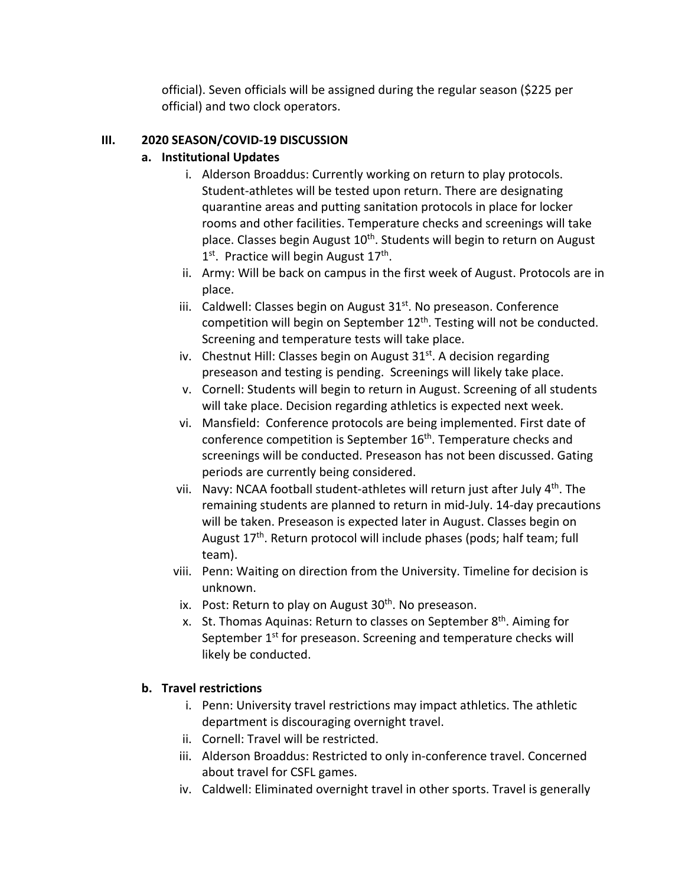official). Seven officials will be assigned during the regular season (\$225 per official) and two clock operators.

### **III. 2020 SEASON/COVID-19 DISCUSSION**

### **a. Institutional Updates**

- i. Alderson Broaddus: Currently working on return to play protocols. Student-athletes will be tested upon return. There are designating quarantine areas and putting sanitation protocols in place for locker rooms and other facilities. Temperature checks and screenings will take place. Classes begin August 10<sup>th</sup>. Students will begin to return on August  $1<sup>st</sup>$ . Practice will begin August  $17<sup>th</sup>$ .
- ii. Army: Will be back on campus in the first week of August. Protocols are in place.
- iii. Caldwell: Classes begin on August  $31<sup>st</sup>$ . No preseason. Conference competition will begin on September 12<sup>th</sup>. Testing will not be conducted. Screening and temperature tests will take place.
- iv. Chestnut Hill: Classes begin on August  $31<sup>st</sup>$ . A decision regarding preseason and testing is pending. Screenings will likely take place.
- v. Cornell: Students will begin to return in August. Screening of all students will take place. Decision regarding athletics is expected next week.
- vi. Mansfield: Conference protocols are being implemented. First date of conference competition is September 16<sup>th</sup>. Temperature checks and screenings will be conducted. Preseason has not been discussed. Gating periods are currently being considered.
- vii. Navy: NCAA football student-athletes will return just after July  $4<sup>th</sup>$ . The remaining students are planned to return in mid-July. 14-day precautions will be taken. Preseason is expected later in August. Classes begin on August 17<sup>th</sup>. Return protocol will include phases (pods; half team; full team).
- viii. Penn: Waiting on direction from the University. Timeline for decision is unknown.
- ix. Post: Return to play on August  $30<sup>th</sup>$ . No preseason.
- x. St. Thomas Aquinas: Return to classes on September  $8<sup>th</sup>$ . Aiming for September 1<sup>st</sup> for preseason. Screening and temperature checks will likely be conducted.

## **b. Travel restrictions**

- i. Penn: University travel restrictions may impact athletics. The athletic department is discouraging overnight travel.
- ii. Cornell: Travel will be restricted.
- iii. Alderson Broaddus: Restricted to only in-conference travel. Concerned about travel for CSFL games.
- iv. Caldwell: Eliminated overnight travel in other sports. Travel is generally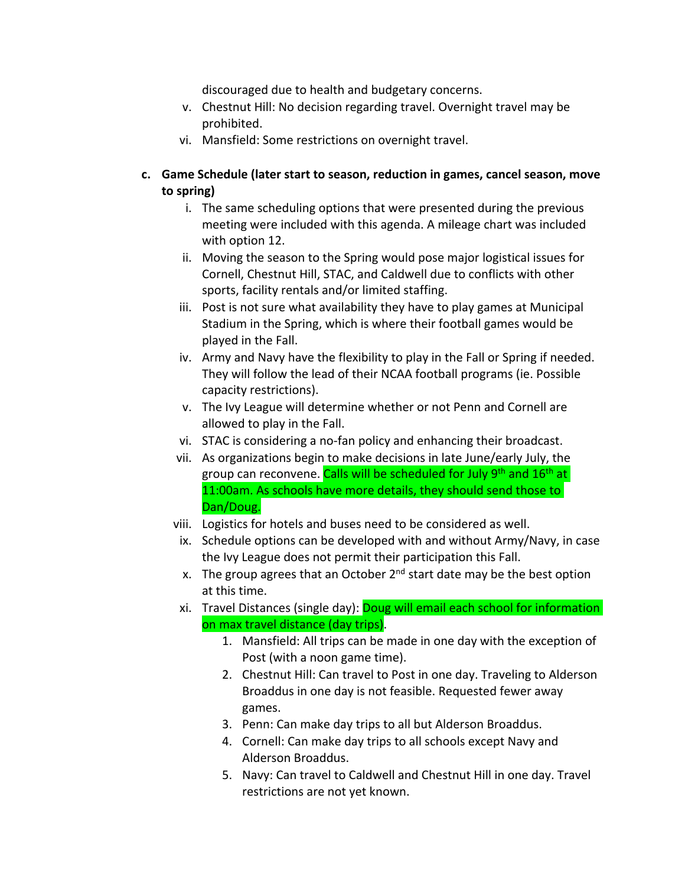discouraged due to health and budgetary concerns.

- v. Chestnut Hill: No decision regarding travel. Overnight travel may be prohibited.
- vi. Mansfield: Some restrictions on overnight travel.
- **c. Game Schedule (later start to season, reduction in games, cancel season, move to spring)**
	- i. The same scheduling options that were presented during the previous meeting were included with this agenda. A mileage chart was included with option 12.
	- ii. Moving the season to the Spring would pose major logistical issues for Cornell, Chestnut Hill, STAC, and Caldwell due to conflicts with other sports, facility rentals and/or limited staffing.
	- iii. Post is not sure what availability they have to play games at Municipal Stadium in the Spring, which is where their football games would be played in the Fall.
	- iv. Army and Navy have the flexibility to play in the Fall or Spring if needed. They will follow the lead of their NCAA football programs (ie. Possible capacity restrictions).
	- v. The Ivy League will determine whether or not Penn and Cornell are allowed to play in the Fall.
	- vi. STAC is considering a no-fan policy and enhancing their broadcast.
	- vii. As organizations begin to make decisions in late June/early July, the group can reconvene. Calls will be scheduled for July 9<sup>th</sup> and 16<sup>th</sup> at 11:00am. As schools have more details, they should send those to Dan/Doug.
	- viii. Logistics for hotels and buses need to be considered as well.
		- ix. Schedule options can be developed with and without Army/Navy, in case the Ivy League does not permit their participation this Fall.
		- x. The group agrees that an October  $2^{nd}$  start date may be the best option at this time.
	- xi. Travel Distances (single day): Doug will email each school for information on max travel distance (day trips).
		- 1. Mansfield: All trips can be made in one day with the exception of Post (with a noon game time).
		- 2. Chestnut Hill: Can travel to Post in one day. Traveling to Alderson Broaddus in one day is not feasible. Requested fewer away games.
		- 3. Penn: Can make day trips to all but Alderson Broaddus.
		- 4. Cornell: Can make day trips to all schools except Navy and Alderson Broaddus.
		- 5. Navy: Can travel to Caldwell and Chestnut Hill in one day. Travel restrictions are not yet known.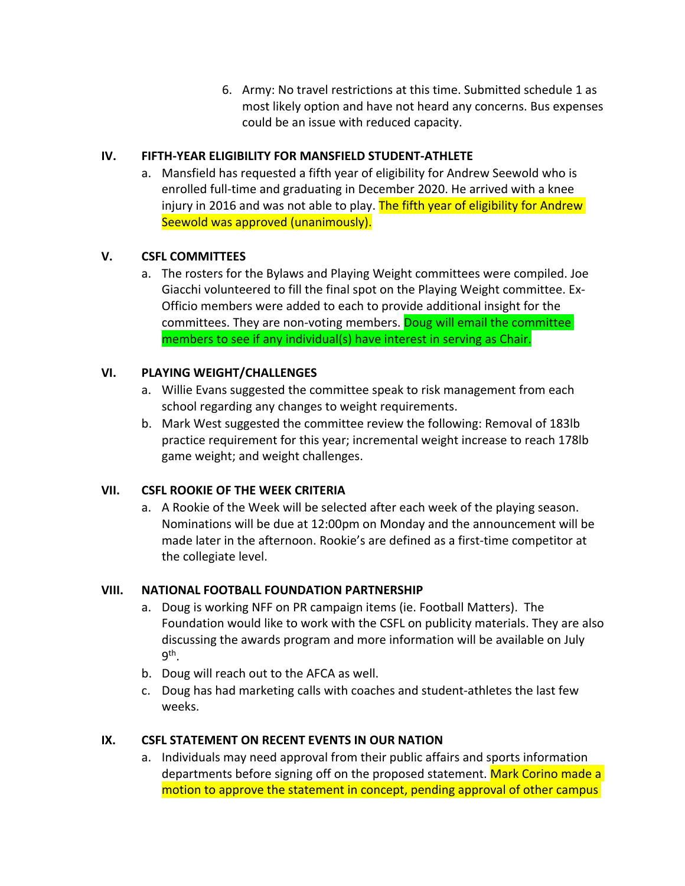6. Army: No travel restrictions at this time. Submitted schedule 1 as most likely option and have not heard any concerns. Bus expenses could be an issue with reduced capacity.

## **IV. FIFTH-YEAR ELIGIBILITY FOR MANSFIELD STUDENT-ATHLETE**

a. Mansfield has requested a fifth year of eligibility for Andrew Seewold who is enrolled full-time and graduating in December 2020. He arrived with a knee injury in 2016 and was not able to play. The fifth year of eligibility for Andrew Seewold was approved (unanimously).

# **V. CSFL COMMITTEES**

a. The rosters for the Bylaws and Playing Weight committees were compiled. Joe Giacchi volunteered to fill the final spot on the Playing Weight committee. Ex-Officio members were added to each to provide additional insight for the committees. They are non-voting members. Doug will email the committee members to see if any individual(s) have interest in serving as Chair.

# **VI. PLAYING WEIGHT/CHALLENGES**

- a. Willie Evans suggested the committee speak to risk management from each school regarding any changes to weight requirements.
- b. Mark West suggested the committee review the following: Removal of 183lb practice requirement for this year; incremental weight increase to reach 178lb game weight; and weight challenges.

## **VII. CSFL ROOKIE OF THE WEEK CRITERIA**

a. A Rookie of the Week will be selected after each week of the playing season. Nominations will be due at 12:00pm on Monday and the announcement will be made later in the afternoon. Rookie's are defined as a first-time competitor at the collegiate level.

## **VIII. NATIONAL FOOTBALL FOUNDATION PARTNERSHIP**

- a. Doug is working NFF on PR campaign items (ie. Football Matters). The Foundation would like to work with the CSFL on publicity materials. They are also discussing the awards program and more information will be available on July 9th.
- b. Doug will reach out to the AFCA as well.
- c. Doug has had marketing calls with coaches and student-athletes the last few weeks.

# **IX. CSFL STATEMENT ON RECENT EVENTS IN OUR NATION**

a. Individuals may need approval from their public affairs and sports information departments before signing off on the proposed statement. Mark Corino made a motion to approve the statement in concept, pending approval of other campus